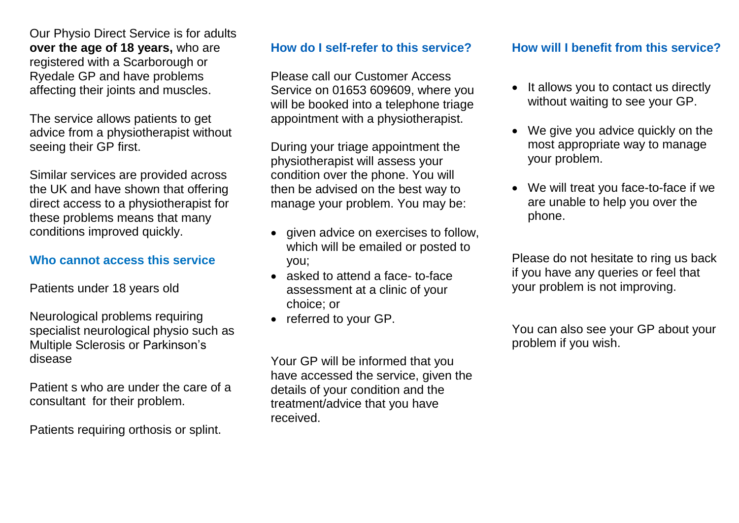Our Physio Direct Service is for adults **over the age of 18 years,** who are registered with a Scarborough or Ryedale GP and have problems affecting their joints and muscles.

The service allows patients to get advice from a physiotherapist without seeing their GP first.

Similar services are provided across the UK and have shown that offering direct access to a physiotherapist for these problems means that many conditions improved quickly.

### **Who cannot access this service**

Patients under 18 years old

Neurological problems requiring specialist neurological physio such as Multiple Sclerosis or Parkinson's disease

Patient s who are under the care of a consultant for their problem.

Patients requiring orthosis or splint.

## **How do I self-refer to this service?**

Please call our Customer Access Service on 01653 609609, where you will be booked into a telephone triage appointment with a physiotherapist.

During your triage appointment the physiotherapist will assess your condition over the phone. You will then be advised on the best way to manage your problem. You may be:

- given advice on exercises to follow, which will be emailed or posted to you;
- asked to attend a face- to-face assessment at a clinic of your choice; or
- referred to your GP.

Your GP will be informed that you have accessed the service, given the details of your condition and the treatment/advice that you have received.

## **How will I benefit from this service?**

- It allows you to contact us directly without waiting to see your GP.
- We give you advice quickly on the most appropriate way to manage your problem.
- We will treat you face-to-face if we are unable to help you over the phone.

Please do not hesitate to ring us back if you have any queries or feel that your problem is not improving.

You can also see your GP about your problem if you wish.